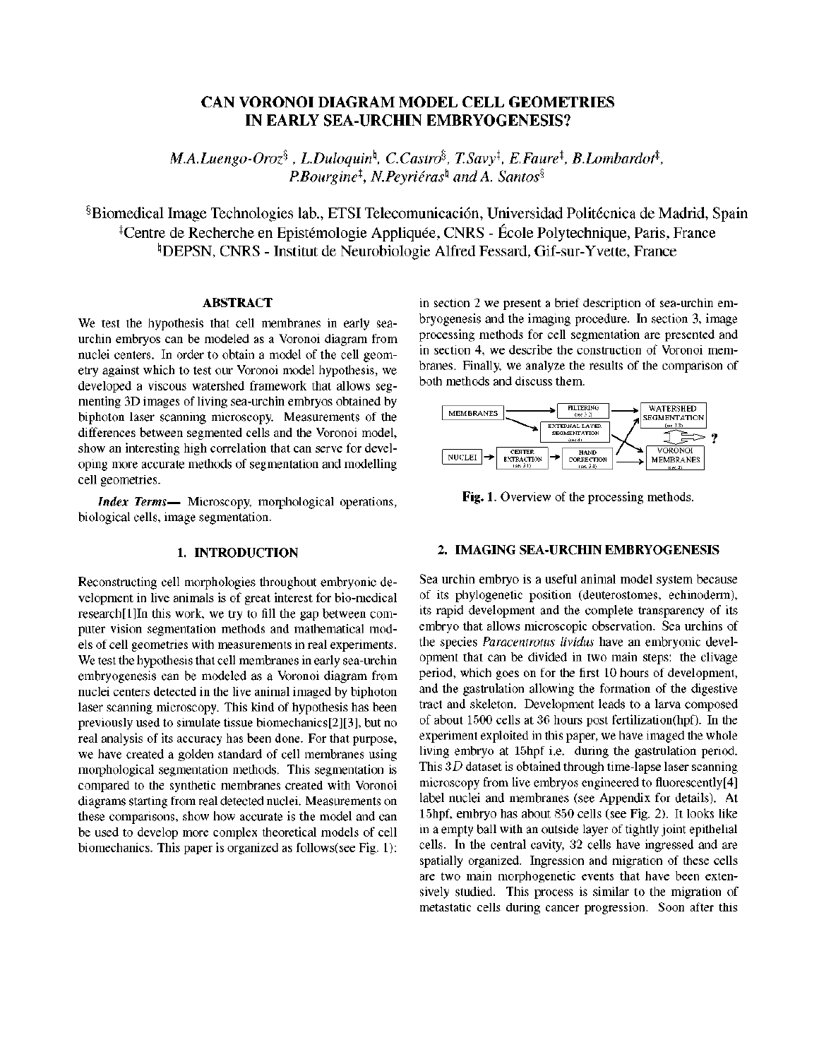# **CAN VORONOI DIAGRAM MODEL CELL GEOMETRIES IN EARLY SEA-URCHIN EMBRYOGENESIS?**

 $M.A.Luengo-Oroz<sup>§</sup>$ , L.Duloquin<sup> $\phi$ </sup>, C.Castro<sup>§</sup>, T.Savy<sup>†</sup>, E.Faure<sup>‡</sup>, B.Lombardot<sup>‡</sup>, *P.Bourgine^, N.Peyriéras^ and A. Santos^* 

§Biomedical Image Technologies lab., ETSI Telecomunicación, Universidad Politécnica de Madrid, Spain <sup>‡</sup>Centre de Recherche en Epistémologie Appliquée, CNRS - École Polytechnique, Paris, France <sup>#</sup>DEPSN, CNRS - Institut de Neurobiologie Alfred Fessard, Gif-sur-Yvette, France

# **ABSTRACT**

We test the hypothesis that cell membranes in early seaurchin embryos can be modeled as a Voronoi diagram from nuclei centers. In order to obtain a model of the cell geometry against which to test our Voronoi model hypothesis, we developed a viscous watershed framework that allows segmenting 3D images of living sea-urchin embryos obtained by biphoton láser scanning microscopy. Measurements of the differences between segmented cells and the Voronoi model, show an interesting high correlation that can serve for developing more accurate methods of segmentation and modelling cell geometries.

*Index Terms*— Microscopy, morphological operations, biological cells, image segmentation.

### **1. INTRODUCTION**

Reconstructing cell morphologies throughout embryonic development in live animals is of great interest for bio-medical research[l]In this work, we try to fill the gap between computer visión segmentation methods and mathematical models of cell geometries with measurements in real experiments. We test the hypothesis that cell membranes in early sea-urchin embryogenesis can be modeled as a Voronoi diagram from nuclei centers detected in the live animal imaged by biphoton laser scanning microscopy. This kind of hypothesis has been previously used to simúlate tissue biomechanics[2][3], but no real analysis of its accuracy has been done. For that purpose, we have created a golden standard of cell membranes using morphological segmentation methods. This segmentation is compared to the synthetic membranes created with Voronoi diagrams starting from real detected nuclei. Measurements on these comparisons, show how accurate is the model and can be used to develop more complex theoretical models of cell biomechanics. This paper is organized as follows(see Fig. 1): in section 2 we present a brief description of sea-urchin embryogenesis and the imaging procedure. In section 3, image processing methods for cell segmentation are presented and in section 4, we describe the construction of Voronoi membranes. Finally, we analyze the results of the comparison of both methods and discuss them.



Fig. 1. Overview of the processing methods.

### **2. IMAGING SEA-URCHIN EMBRYOGENESIS**

Sea urchin embryo is a useful animal model system because of its phylogenetic position (deuterostomes, echinoderm), its rapid development and the complete transparency of its embryo that allows microscopic observation. Sea urchins of the species *Paracentrotus lividus* have an embryonic development that can be divided in two main steps: the clivage period, which goes on for the first 10 hours of development, and the gastrulation allowing the formation of the digestive tract and skeleton. Development leads to a larva composed of about 1500 cells at 36 hours post fertilization(hpf). In the experiment exploited in this paper, we have imaged the whole living embryo at 15hpf i.e. during the gastrulation period. This 3D dataset is obtained through time-lapse laser scanning microscopy from live embryos engineered to fluorescently[4] label nuclei and membranes (see Appendix for details). At 15hpf, embryo has about 850 cells (see Fig. 2). It looks like in a empty ball with an outside layer of tightly joint epithelial cells. In the central cavity, 32 cells have ingressed and are spatially organized. Ingression and migration of these cells are two main morphogenetic events that have been extensively studied. This process is similar to the migration of metastatic cells during cancer progression. Soon after this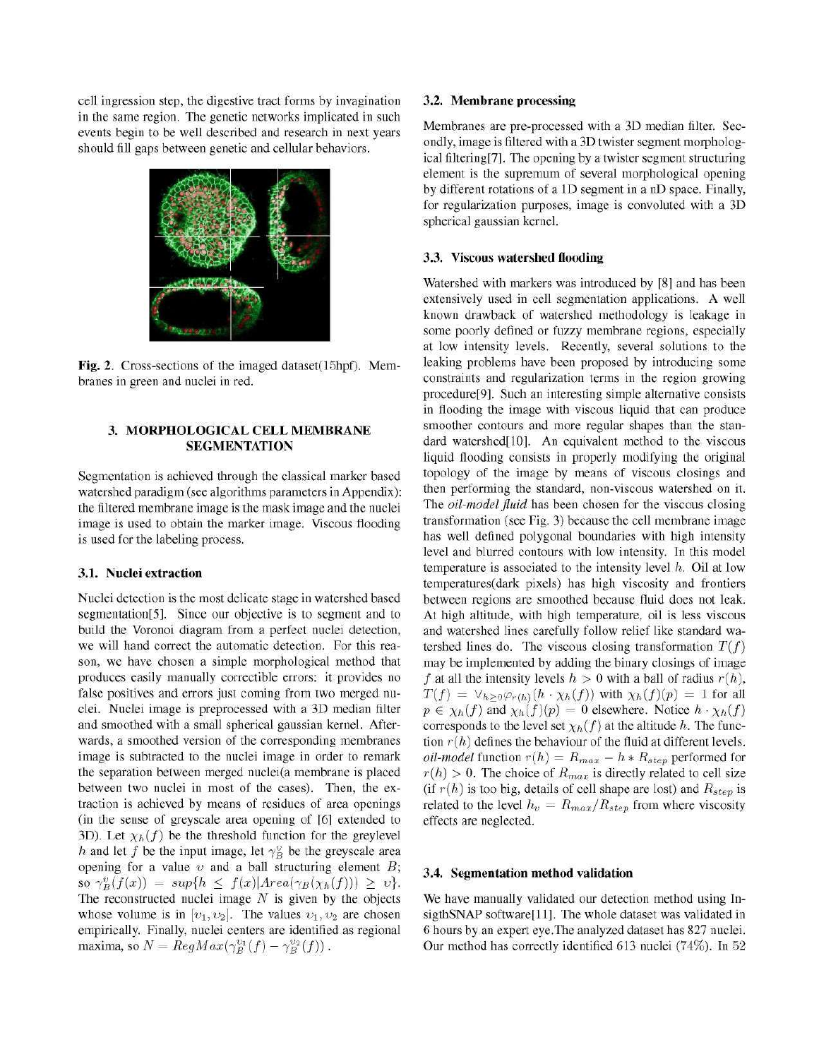cell ingression step, the digestive tract forms by invagination in the same región. The genetic networks implicated in such events begin to be well described and research in next years should fill gaps between genetic and cellular behaviors.



**Fig.** 2. Cross-sections of the imaged dataset(15hpf). Membranes in green and nuclei in red.

## **3. MORPHOLOGICAL CELL MEMBRANE SEGMENTATION**

Segmentation is achieved through the classical marker based watershed paradigm (see algorithms parameters in Appendix): the filtered membrane image is the mask image and the nuclei image is used to obtain the marker image. Viscous flooding is used for the labeling process.

## **3.1. Nuclei extraction**

Nuclei detection is the most delicate stage in watershed based segmentation[5]. Since our objective is to segment and to build the Voronoi diagram from a perfect nuclei detection, we will hand correct the automatic detection. For this reason, we have chosen a simple morphological method that produces easily manually correctible errors: it provides no false positives and errors just coming from two merged nuclei. Nuclei image is preprocessed with a 3D median filter and smoothed with a small spherical gaussian kernel. Afterwards, a smoothed version of the corresponding membranes image is subtracted to the nuclei image in order to remark the separation between merged nuclei(a membrane is placed between two nuclei in most of the cases). Then, the extraction is achieved by means of residues of area openings (in the sense of greyscale área opening of [6] extended to 3D). Let  $\chi_h(f)$  be the threshold function for the greylevel *h* and let *f* be the input image, let  $\gamma_B^v$  be the greyscale area opening for a valué *v* and a ball structuring element *B;*  so  $\gamma_B^v(f(x)) = \sup\{h \leq f(x)|Area(\gamma_B(\chi_h(f))) \geq v\}.$ The reconstructed nuclei image *N* is given by the objects whose volume is in  $[v_1,v_2]$ . The values  $v_1,v_2$  are chosen empirically. Finally, nuclei centers are identified as regional maxima, so  $N = RegMax(\gamma_P^{v_1}(f) - \gamma_P^{v_2}(f))$ .

#### **3.2. Membrane processing**

Membranes are pre-processed with a 3D median filter. Secondly, image is filtered with a 3D twister segment morphological filtering[7]. The opening by a twister segment structuring element is the supremum of several morphological opening by different rotations of a ID segment in a nD space. Finally, for regularization purposes, image is convoluted with a 3D spherical gaussian kernel.

#### **3.3. Viscous watershed flooding**

Watershed with markers was introduced by [8] and has been extensively used in cell segmentation applications. A well known drawback of watershed methodology is leakage in some poorly defined or fuzzy membrane regions, especially at low intensity levels. Recently, several solutions to the leaking problems have been proposed by introducing some constraints and regularization terms in the región growing procedure[9]. Such an interesting simple alternative consists in flooding the image with viscous liquid that can produce smoother contours and more regular shapes than the standard watershed[10]. An equivalent method to the viscous liquid flooding consists in properly modifying the original topology of the image by means of viscous closings and then performing the standard, non-viscous watershed on it. The *oil-model fluid* has been chosen for the viscous closing transformation (see Fig. 3) because the cell membrane image has well defined polygonal boundaries with high intensity level and blurred contours with low intensity. In this model temperature is associated to the intensity level *h.* Oil at low temperatures(dark pixels) has high viscosity and frontiers between regions are smoothed because fluid does not leak. At high altitude, with high temperature, oil is less viscous and watershed lines carefully follow relief like standard watershed lines do. The viscous closing transformation  $T(f)$ may be implemented by adding the binary closings of image f at all the intensity levels  $h > 0$  with a ball of radius  $r(h)$ ,  $T(f) = \vee_{h \geq 0} \varphi_{r(h)}(h \cdot \chi_h(f))$  with  $\chi_h(f)(p) = 1$  for all  $p \in \chi_h(f)$  and  $\chi_h(f)(p) = 0$  elsewhere. Notice  $h \cdot \chi_h(f)$ corresponds to the level set  $\chi_h(f)$  at the altitude h. The function  $r(h)$  defines the behaviour of the fluid at different levels. *oil-model* function  $r(h) = R_{max} - h * R_{step}$  performed for  $r(h) > 0$ . The choice of  $R_{max}$  is directly related to cell size (if  $r(h)$  is too big, details of cell shape are lost) and  $R_{step}$  is related to the level  $h_v = R_{max}/R_{step}$  from where viscosity effects are neglected.

#### **3.4. Segmentation method validation**

We have manually validated our detection method using InsigthSNAP software[11]. The whole dataset was validated in 6 hours by an expert eye.The analyzed dataset has 827 nuclei. Our method has correctly identified 613 nuclei (74%). In 52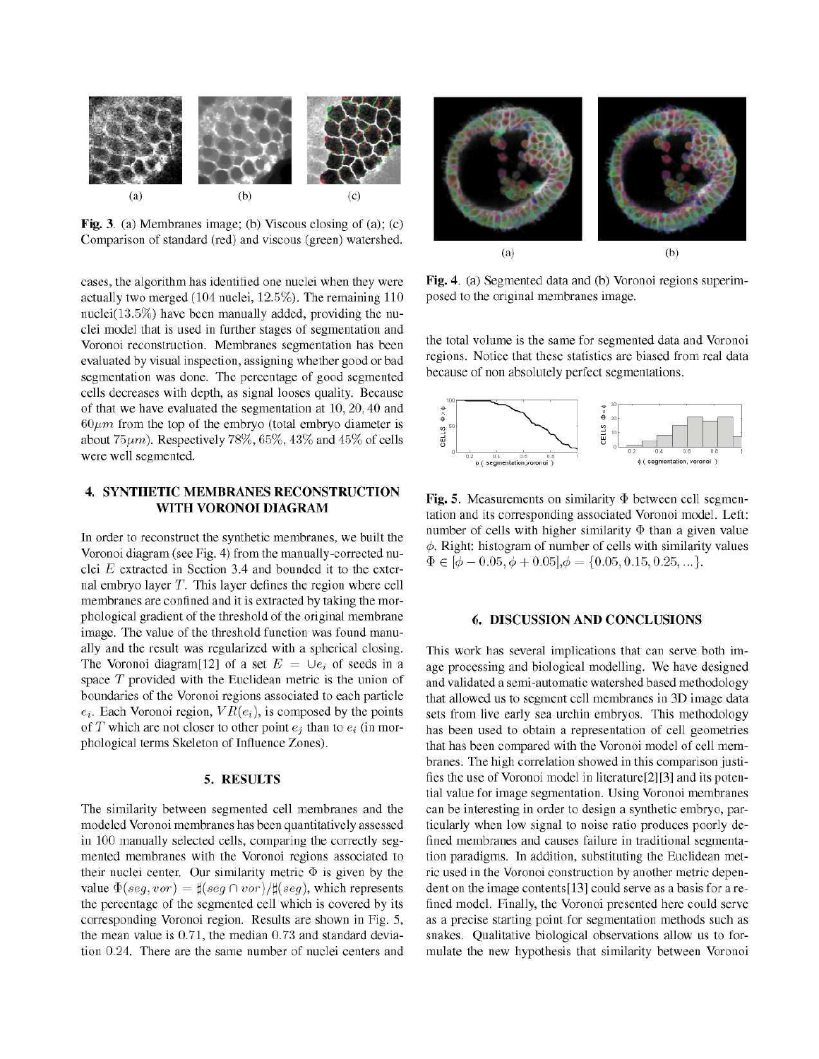

**Fig.** 3. (a) Membranes image; (b) Viscous closing of (a); (c) Comparison of standard (red) and viscous (green) watershed.

cases, the algorithm has identified one nuclei when they were actually two merged (104 nuclei, 12.5%). The remaining 110 nuclei(13.5%) have been manually added, providing the nuclei model that is used in further stages of segmentation and Voronoi reconstruction. Membranes segmentation has been evaluated by visual inspection, assigning whether good or bad segmentation was done. The percentage of good segmented cells decreases with depth, as signal looses quality. Because of that we have evaluated the segmentation at 10,20,40 and  $60\mu m$  from the top of the embryo (total embryo diameter is about  $75\mu$ m). Respectively  $78\%$ ,  $65\%$ ,  $43\%$  and  $45\%$  of cells were well segmented.

## **4. SYNTHETIC MEMBRANES RECONSTRUCTION WITH VORONOI DIAGRAM**

In order to reconstruct the synthetic membranes, we built the Voronoi diagram (see Fig. 4) from the manually-corrected nuclei *E* extracted in Section 3.4 and bounded it to the external embryo layer *T*. This layer defines the region where cell membranes are confined and it is extracted by taking the morphological gradient of the threshold of the original membrane image. The value of the threshold function was found manually and the result was regularized with a spherical closing. The Voronoi diagram<sup>[12]</sup> of a set  $E = \bigcup e_i$  of seeds in a space *T* provided with the Euclidean metric is the union of boundaries of the Voronoi regions associated to each particle  $e_i$ . Each Voronoi region,  $VR(e_i)$ , is composed by the points of *T* which are not closer to other point  $e_i$  than to  $e_i$  (in morphological terms Skeleton of Influence Zones).

#### **5. RESULTS**

The similarity between segmented cell membranes and the modeled Voronoi membranes has been quantitatively assessed in 100 manually selected cells, comparing the correctly segmented membranes with the Voronoi regions associated to their nuclei center. Our similarity metric  $\Phi$  is given by the value  $\Phi(seg, vor) = \sharp (seg \cap vor)/\sharp (seg)$ , which represents the percentage of the segmented cell which is covered by its corresponding Voronoi región. Results are shown in Fig. 5, the mean valué is 0.71, the median 0.73 and standard deviation 0.24. There are the same number of nuclei centers and



**Fig.** 4. (a) Segmented data and (b) Voronoi regions superimposed to the original membranes image.

the total volume is the same for segmented data and Voronoi regions. Notice that these statistics are biased from real data because of non absolutely perfect segmentations.



**Fig.** 5. Measurements on similarity  $\Phi$  between cell segmentation and its corresponding associated Voronoi model. Left: number of cells with higher similarity  $\Phi$  than a given value  $\phi$ . Right: histogram of number of cells with similarity values  $\Phi \in [\phi - 0.05, \phi + 0.05], \phi = \{0.05, 0.15, 0.25, \ldots\}.$ 

# **6. DISCUSSION AND CONCLUSIONS**

This work has several implications that can serve both image processing and biological modelling. We have designed and validated a semi-automatic watershed based methodology that allowed us to segment cell membranes in 3D image data sets from live early sea urchin embryos. This methodology has been used to obtain a representation of cell geometries that has been compared with the Voronoi model of cell membranes. The high correlation showed in this comparison justifies the use of Voronoi model in literature[2][3] and its potential valué for image segmentation. Using Voronoi membranes can be interesting in order to design a synthetic embryo, particularly when low signal to noise ratio produces poorly defined membranes and causes failure in traditional segmentation paradigms. In addition, substituting the Euclidean metric used in the Voronoi construction by another metric dependent on the image contents[13] could serve as a basis for a refined model. Finally, the Voronoi presented here could serve as a precise starting point for segmentation methods such as snakes. Qualitative biological observations allow us to formulate the new hypothesis that similarity between Voronoi